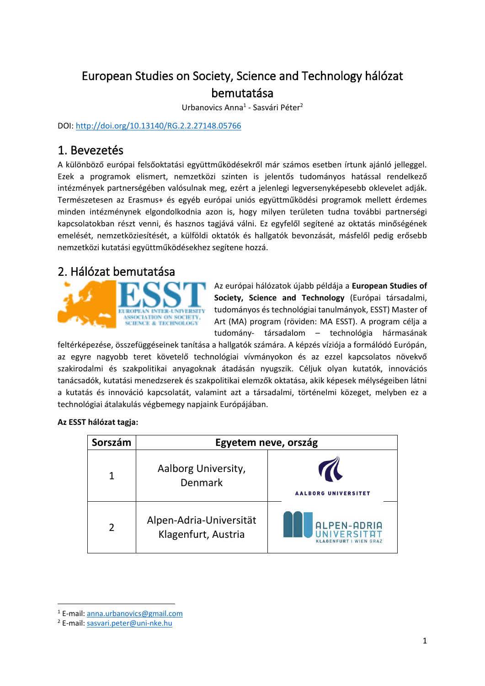# European Studies on Society, Science and Technology hálózat bemutatása

Urbanovics Anna<sup>1</sup> - Sasvári Péter<sup>2</sup>

DOI:<http://doi.org/10.13140/RG.2.2.27148.05766>

## 1. Bevezetés

A különböző európai felsőoktatási együttműködésekről már számos esetben írtunk ajánló jelleggel. Ezek a programok elismert, nemzetközi szinten is jelentős tudományos hatással rendelkező intézmények partnerségében valósulnak meg, ezért a jelenlegi legversenyképesebb oklevelet adják. Természetesen az Erasmus+ és egyéb európai uniós együttműködési programok mellett érdemes minden intézménynek elgondolkodnia azon is, hogy milyen területen tudna további partnerségi kapcsolatokban részt venni, és hasznos tagjává válni. Ez egyfelől segítené az oktatás minőségének emelését, nemzetköziesítését, a külföldi oktatók és hallgatók bevonzását, másfelől pedig erősebb nemzetközi kutatási együttműködésekhez segítene hozzá.

### 2. Hálózat bemutatása



Az európai hálózatok újabb példája a **European Studies of Society, Science and Technology** (Európai társadalmi, tudományos és technológiai tanulmányok, ESST) Master of Art (MA) program (röviden: MA ESST). A program célja a tudomány- társadalom – technológia hármasának

feltérképezése, összefüggéseinek tanítása a hallgatók számára. A képzés víziója a formálódó Európán, az egyre nagyobb teret követelő technológiai vívmányokon és az ezzel kapcsolatos növekvő szakirodalmi és szakpolitikai anyagoknak átadásán nyugszik. Céljuk olyan kutatók, innovációs tanácsadók, kutatási menedzserek és szakpolitikai elemzők oktatása, akik képesek mélységeiben látni a kutatás és innováció kapcsolatát, valamint azt a társadalmi, történelmi közeget, melyben ez a technológiai átalakulás végbemegy napjaink Európájában.

#### **Az ESST hálózat tagja:**

| Sorszám | Egyetem neve, ország                           |                                                      |
|---------|------------------------------------------------|------------------------------------------------------|
|         | Aalborg University,<br><b>Denmark</b>          | <b>AALBORG UNIVERSITET</b>                           |
|         | Alpen-Adria-Universität<br>Klagenfurt, Austria | ALPEN-ADRIA<br><b>WIEN GRAZ</b><br><b>KLAGENFURT</b> |

<sup>1</sup> E-mail[: anna.urbanovics@gmail.com](mailto:anna.urbanovics@gmail.com)

<sup>2</sup> E-mail[: sasvari.peter@uni-nke.hu](mailto:sasvari.peter@uni-nke.hu)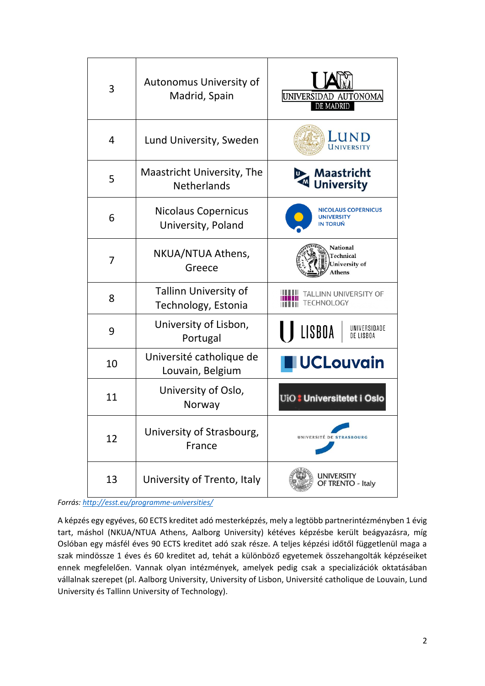| 3              | Autonomus University of<br>Madrid, Spain         | UNIVERSIDAD AUTONOMA<br>DE MADRID                    |
|----------------|--------------------------------------------------|------------------------------------------------------|
| 4              | Lund University, Sweden                          | LUND<br>UNIVERSITY                                   |
| 5              | Maastricht University, The<br><b>Netherlands</b> | <b>Maastricht</b><br><b>University</b>               |
| 6              | <b>Nicolaus Copernicus</b><br>University, Poland | <b>NICOLAUS COPERNICUS</b><br>UNIVERSITY<br>IN TORUŃ |
| $\overline{7}$ | NKUA/NTUA Athens,<br>Greece                      | National<br>Technical<br>University of<br>Athens     |
| 8              | Tallinn University of<br>Technology, Estonia     | TALLINN UNIVERSITY OF<br>TECHNOLOGY                  |
| 9              | University of Lisbon,<br>Portugal                | LISBOA<br>UNIVERSIDADE<br>DE LISBOA                  |
| 10             | Université catholique de<br>Louvain, Belgium     | <b>UCLouvain</b>                                     |
| 11             | University of Oslo,<br>Norway                    | UiO: Universitetet i Oslo                            |
| 12             | University of Strasbourg,<br>France              | UNIVERSITÉ DE STRASBOURG                             |
| 13             | University of Trento, Italy                      | university<br>OF TRENTO - Italy                      |

*Forrás: <http://esst.eu/programme-universities/>*

A képzés egy egyéves, 60 ECTS kreditet adó mesterképzés, mely a legtöbb partnerintézményben 1 évig tart, máshol (NKUA/NTUA Athens, Aalborg University) kétéves képzésbe került beágyazásra, míg Oslóban egy másfél éves 90 ECTS kreditet adó szak része. A teljes képzési időtől függetlenül maga a szak mindössze 1 éves és 60 kreditet ad, tehát a különböző egyetemek összehangolták képzéseiket ennek megfelelően. Vannak olyan intézmények, amelyek pedig csak a specializációk oktatásában vállalnak szerepet (pl. Aalborg University, University of Lisbon, Université catholique de Louvain, Lund University és Tallinn University of Technology).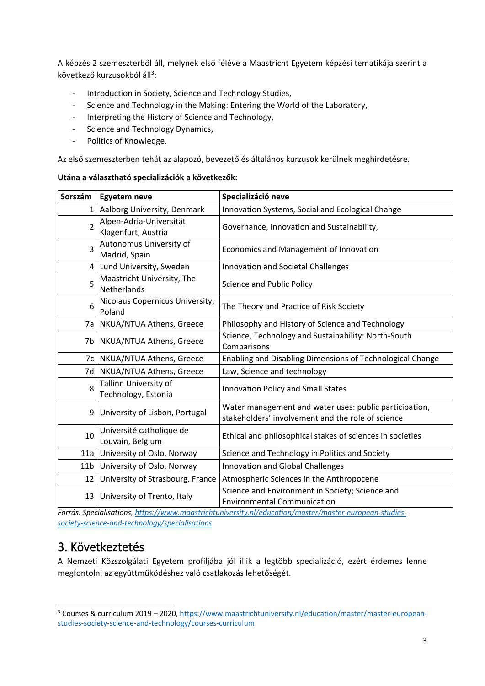A képzés 2 szemeszterből áll, melynek első féléve a Maastricht Egyetem képzési tematikája szerint a következő kurzusokból áll<sup>3</sup>:

- Introduction in Society, Science and Technology Studies,
- Science and Technology in the Making: Entering the World of the Laboratory,
- Interpreting the History of Science and Technology,
- Science and Technology Dynamics,
- Politics of Knowledge.

Az első szemeszterben tehát az alapozó, bevezető és általános kurzusok kerülnek meghirdetésre.

#### **Utána a választható specializációk a következők:**

| Sorszám         | <b>Egyetem neve</b>                            | Specializáció neve                                                                                          |
|-----------------|------------------------------------------------|-------------------------------------------------------------------------------------------------------------|
| 1               | Aalborg University, Denmark                    | Innovation Systems, Social and Ecological Change                                                            |
| $\overline{2}$  | Alpen-Adria-Universität<br>Klagenfurt, Austria | Governance, Innovation and Sustainability,                                                                  |
| 3               | Autonomus University of<br>Madrid, Spain       | Economics and Management of Innovation                                                                      |
| 4               | Lund University, Sweden                        | Innovation and Societal Challenges                                                                          |
| 5               | Maastricht University, The<br>Netherlands      | Science and Public Policy                                                                                   |
| 6               | Nicolaus Copernicus University,<br>Poland      | The Theory and Practice of Risk Society                                                                     |
| 7a              | NKUA/NTUA Athens, Greece                       | Philosophy and History of Science and Technology                                                            |
| 7b              | NKUA/NTUA Athens, Greece                       | Science, Technology and Sustainability: North-South<br>Comparisons                                          |
| 7c              | NKUA/NTUA Athens, Greece                       | Enabling and Disabling Dimensions of Technological Change                                                   |
| 7d              | NKUA/NTUA Athens, Greece                       | Law, Science and technology                                                                                 |
| 8               | Tallinn University of<br>Technology, Estonia   | <b>Innovation Policy and Small States</b>                                                                   |
| 9               | University of Lisbon, Portugal                 | Water management and water uses: public participation,<br>stakeholders' involvement and the role of science |
| 10              | Université catholique de<br>Louvain, Belgium   | Ethical and philosophical stakes of sciences in societies                                                   |
| 11a             | University of Oslo, Norway                     | Science and Technology in Politics and Society                                                              |
| 11 <sub>b</sub> | University of Oslo, Norway                     | Innovation and Global Challenges                                                                            |
| 12              | University of Strasbourg, France               | Atmospheric Sciences in the Anthropocene                                                                    |
| 13              | University of Trento, Italy                    | Science and Environment in Society; Science and<br><b>Environmental Communication</b>                       |

*Forrás: Specialisations[, https://www.maastrichtuniversity.nl/education/master/master-european-studies](https://www.maastrichtuniversity.nl/education/master/master-european-studies-society-science-and-technology/specialisations)[society-science-and-technology/specialisations](https://www.maastrichtuniversity.nl/education/master/master-european-studies-society-science-and-technology/specialisations)*

## 3. Következtetés

A Nemzeti Közszolgálati Egyetem profiljába jól illik a legtöbb specializáció, ezért érdemes lenne megfontolni az együttműködéshez való csatlakozás lehetőségét.

<sup>3</sup> Courses & curriculum 2019 – 2020[, https://www.maastrichtuniversity.nl/education/master/master-european](https://www.maastrichtuniversity.nl/education/master/master-european-studies-society-science-and-technology/courses-curriculum)[studies-society-science-and-technology/courses-curriculum](https://www.maastrichtuniversity.nl/education/master/master-european-studies-society-science-and-technology/courses-curriculum)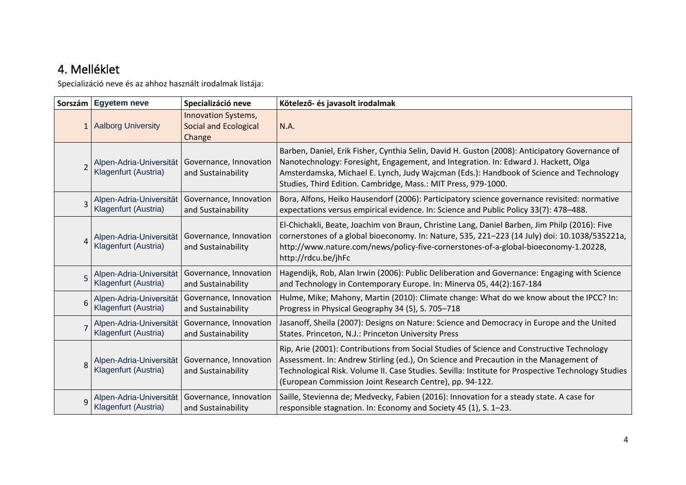# 4. Melléklet

Specializáció neve és az ahhoz használt irodalmak listája:

|   | Sorszám Egyetem neve                            | Specializáció neve                                                   | Kötelező- és javasolt irodalmak                                                                                                                                                                                                                                                                                                                       |
|---|-------------------------------------------------|----------------------------------------------------------------------|-------------------------------------------------------------------------------------------------------------------------------------------------------------------------------------------------------------------------------------------------------------------------------------------------------------------------------------------------------|
|   | 1 Aalborg University                            | <b>Innovation Systems,</b><br><b>Social and Ecological</b><br>Change | N.A.                                                                                                                                                                                                                                                                                                                                                  |
|   | Alpen-Adria-Universität<br>Klagenfurt (Austria) | Governance, Innovation<br>and Sustainability                         | Barben, Daniel, Erik Fisher, Cynthia Selin, David H. Guston (2008): Anticipatory Governance of<br>Nanotechnology: Foresight, Engagement, and Integration. In: Edward J. Hackett, Olga<br>Amsterdamska, Michael E. Lynch, Judy Wajcman (Eds.): Handbook of Science and Technology<br>Studies, Third Edition. Cambridge, Mass.: MIT Press, 979-1000.    |
|   | Alpen-Adria-Universität<br>Klagenfurt (Austria) | Governance, Innovation<br>and Sustainability                         | Bora, Alfons, Heiko Hausendorf (2006): Participatory science governance revisited: normative<br>expectations versus empirical evidence. In: Science and Public Policy 33(7): 478-488.                                                                                                                                                                 |
|   | Alpen-Adria-Universität<br>Klagenfurt (Austria) | Governance, Innovation<br>and Sustainability                         | El-Chichakli, Beate, Joachim von Braun, Christine Lang, Daniel Barben, Jim Philp (2016): Five<br>cornerstones of a global bioeconomy. In: Nature, 535, 221-223 (14 July) doi: 10.1038/535221a,<br>http://www.nature.com/news/policy-five-cornerstones-of-a-global-bioeconomy-1.20228,<br>http://rdcu.be/jhFc                                          |
|   | Alpen-Adria-Universität<br>Klagenfurt (Austria) | Governance, Innovation<br>and Sustainability                         | Hagendijk, Rob, Alan Irwin (2006): Public Deliberation and Governance: Engaging with Science<br>and Technology in Contemporary Europe. In: Minerva 05, 44(2):167-184                                                                                                                                                                                  |
| 6 | Alpen-Adria-Universität<br>Klagenfurt (Austria) | Governance, Innovation<br>and Sustainability                         | Hulme, Mike; Mahony, Martin (2010): Climate change: What do we know about the IPCC? In:<br>Progress in Physical Geography 34 (5), S. 705-718                                                                                                                                                                                                          |
|   | Alpen-Adria-Universität<br>Klagenfurt (Austria) | Governance, Innovation<br>and Sustainability                         | Jasanoff, Sheila (2007): Designs on Nature: Science and Democracy in Europe and the United<br>States. Princeton, N.J.: Princeton University Press                                                                                                                                                                                                     |
|   | Alpen-Adria-Universität<br>Klagenfurt (Austria) | Governance, Innovation<br>and Sustainability                         | Rip, Arie (2001): Contributions from Social Studies of Science and Constructive Technology<br>Assessment. In: Andrew Stirling (ed.), On Science and Precaution in the Management of<br>Technological Risk. Volume II. Case Studies. Sevilla: Institute for Prospective Technology Studies<br>(European Commission Joint Research Centre), pp. 94-122. |
| Q | Alpen-Adria-Universität<br>Klagenfurt (Austria) | Governance, Innovation<br>and Sustainability                         | Saille, Stevienna de; Medvecky, Fabien (2016): Innovation for a steady state. A case for<br>responsible stagnation. In: Economy and Society 45 (1), S. 1-23.                                                                                                                                                                                          |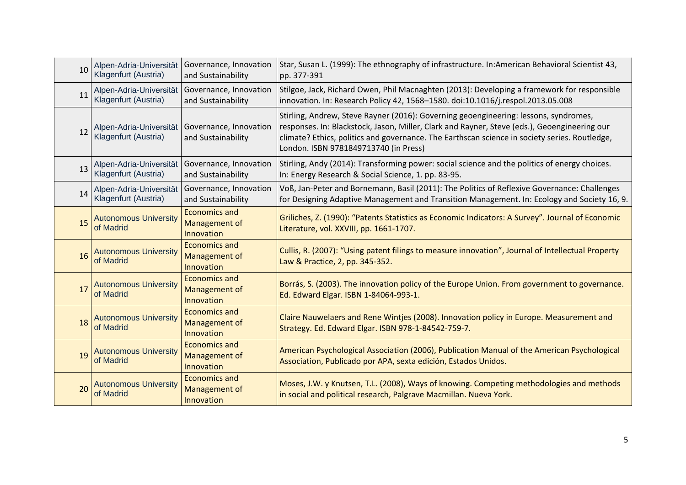| 10 | Alpen-Adria-Universität<br>Klagenfurt (Austria) | Governance, Innovation<br>and Sustainability        | Star, Susan L. (1999): The ethnography of infrastructure. In:American Behavioral Scientist 43,<br>pp. 377-391                                                                                                                                                                                                                  |
|----|-------------------------------------------------|-----------------------------------------------------|--------------------------------------------------------------------------------------------------------------------------------------------------------------------------------------------------------------------------------------------------------------------------------------------------------------------------------|
| 11 | Alpen-Adria-Universität<br>Klagenfurt (Austria) | Governance, Innovation<br>and Sustainability        | Stilgoe, Jack, Richard Owen, Phil Macnaghten (2013): Developing a framework for responsible<br>innovation. In: Research Policy 42, 1568-1580. doi:10.1016/j.respol.2013.05.008                                                                                                                                                 |
| 12 | Alpen-Adria-Universität<br>Klagenfurt (Austria) | Governance, Innovation<br>and Sustainability        | Stirling, Andrew, Steve Rayner (2016): Governing geoengineering: lessons, syndromes,<br>responses. In: Blackstock, Jason, Miller, Clark and Rayner, Steve (eds.), Geoengineering our<br>climate? Ethics, politics and governance. The Earthscan science in society series. Routledge,<br>London. ISBN 9781849713740 (in Press) |
| 13 | Alpen-Adria-Universität<br>Klagenfurt (Austria) | Governance, Innovation<br>and Sustainability        | Stirling, Andy (2014): Transforming power: social science and the politics of energy choices.<br>In: Energy Research & Social Science, 1. pp. 83-95.                                                                                                                                                                           |
| 14 | Alpen-Adria-Universität<br>Klagenfurt (Austria) | Governance, Innovation<br>and Sustainability        | Voß, Jan-Peter and Bornemann, Basil (2011): The Politics of Reflexive Governance: Challenges<br>for Designing Adaptive Management and Transition Management. In: Ecology and Society 16, 9.                                                                                                                                    |
| 15 | <b>Autonomous University</b><br>of Madrid       | <b>Economics and</b><br>Management of<br>Innovation | Griliches, Z. (1990): "Patents Statistics as Economic Indicators: A Survey". Journal of Economic<br>Literature, vol. XXVIII, pp. 1661-1707.                                                                                                                                                                                    |
| 16 | <b>Autonomous University</b><br>of Madrid       | <b>Economics and</b><br>Management of<br>Innovation | Cullis, R. (2007): "Using patent filings to measure innovation", Journal of Intellectual Property<br>Law & Practice, 2, pp. 345-352.                                                                                                                                                                                           |
| 17 | <b>Autonomous University</b><br>of Madrid       | <b>Economics and</b><br>Management of<br>Innovation | Borrás, S. (2003). The innovation policy of the Europe Union. From government to governance.<br>Ed. Edward Elgar. ISBN 1-84064-993-1.                                                                                                                                                                                          |
| 18 | <b>Autonomous University</b><br>of Madrid       | <b>Economics and</b><br>Management of<br>Innovation | Claire Nauwelaers and Rene Wintjes (2008). Innovation policy in Europe. Measurement and<br>Strategy. Ed. Edward Elgar. ISBN 978-1-84542-759-7.                                                                                                                                                                                 |
| 19 | <b>Autonomous University</b><br>of Madrid       | <b>Economics and</b><br>Management of<br>Innovation | American Psychological Association (2006), Publication Manual of the American Psychological<br>Association, Publicado por APA, sexta edición, Estados Unidos.                                                                                                                                                                  |
| 20 | <b>Autonomous University</b><br>of Madrid       | <b>Economics and</b><br>Management of<br>Innovation | Moses, J.W. y Knutsen, T.L. (2008), Ways of knowing. Competing methodologies and methods<br>in social and political research, Palgrave Macmillan. Nueva York.                                                                                                                                                                  |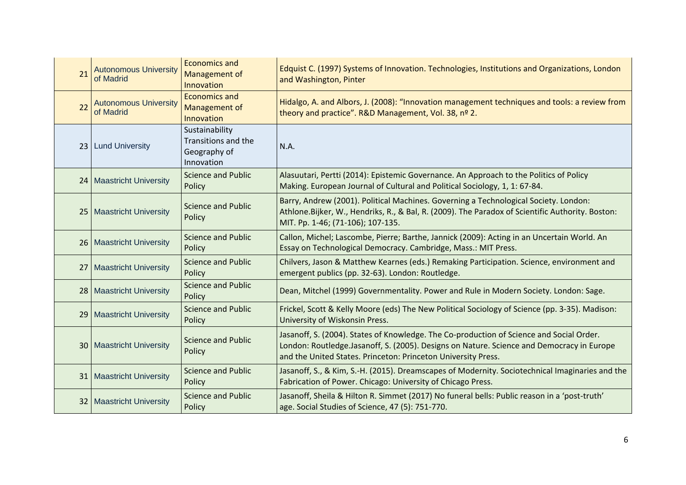| 21 | <b>Autonomous University</b><br>of Madrid | <b>Economics and</b><br>Management of<br>Innovation                 | Edquist C. (1997) Systems of Innovation. Technologies, Institutions and Organizations, London<br>and Washington, Pinter                                                                                                                                |
|----|-------------------------------------------|---------------------------------------------------------------------|--------------------------------------------------------------------------------------------------------------------------------------------------------------------------------------------------------------------------------------------------------|
| 22 | <b>Autonomous University</b><br>of Madrid | <b>Economics and</b><br>Management of<br>Innovation                 | Hidalgo, A. and Albors, J. (2008): "Innovation management techniques and tools: a review from<br>theory and practice". R&D Management, Vol. 38, nº 2.                                                                                                  |
|    | 23   Lund University                      | Sustainability<br>Transitions and the<br>Geography of<br>Innovation | N.A.                                                                                                                                                                                                                                                   |
|    | 24   Maastricht University                | <b>Science and Public</b><br>Policy                                 | Alasuutari, Pertti (2014): Epistemic Governance. An Approach to the Politics of Policy<br>Making. European Journal of Cultural and Political Sociology, 1, 1: 67-84.                                                                                   |
|    | 25   Maastricht University                | <b>Science and Public</b><br>Policy                                 | Barry, Andrew (2001). Political Machines. Governing a Technological Society. London:<br>Athlone.Bijker, W., Hendriks, R., & Bal, R. (2009). The Paradox of Scientific Authority. Boston:<br>MIT. Pp. 1-46; (71-106); 107-135.                          |
|    | 26   Maastricht University                | <b>Science and Public</b><br>Policy                                 | Callon, Michel; Lascombe, Pierre; Barthe, Jannick (2009): Acting in an Uncertain World. An<br>Essay on Technological Democracy. Cambridge, Mass.: MIT Press.                                                                                           |
| 27 | <b>Maastricht University</b>              | <b>Science and Public</b><br>Policy                                 | Chilvers, Jason & Matthew Kearnes (eds.) Remaking Participation. Science, environment and<br>emergent publics (pp. 32-63). London: Routledge.                                                                                                          |
|    | 28   Maastricht University                | <b>Science and Public</b><br>Policy                                 | Dean, Mitchel (1999) Governmentality. Power and Rule in Modern Society. London: Sage.                                                                                                                                                                  |
|    | 29   Maastricht University                | <b>Science and Public</b><br>Policy                                 | Frickel, Scott & Kelly Moore (eds) The New Political Sociology of Science (pp. 3-35). Madison:<br>University of Wiskonsin Press.                                                                                                                       |
|    | 30   Maastricht University                | <b>Science and Public</b><br>Policy                                 | Jasanoff, S. (2004). States of Knowledge. The Co-production of Science and Social Order.<br>London: Routledge.Jasanoff, S. (2005). Designs on Nature. Science and Democracy in Europe<br>and the United States. Princeton: Princeton University Press. |
| 31 | <b>Maastricht University</b>              | <b>Science and Public</b><br>Policy                                 | Jasanoff, S., & Kim, S.-H. (2015). Dreamscapes of Modernity. Sociotechnical Imaginaries and the<br>Fabrication of Power. Chicago: University of Chicago Press.                                                                                         |
| 32 | <b>Maastricht University</b>              | <b>Science and Public</b><br>Policy                                 | Jasanoff, Sheila & Hilton R. Simmet (2017) No funeral bells: Public reason in a 'post-truth'<br>age. Social Studies of Science, 47 (5): 751-770.                                                                                                       |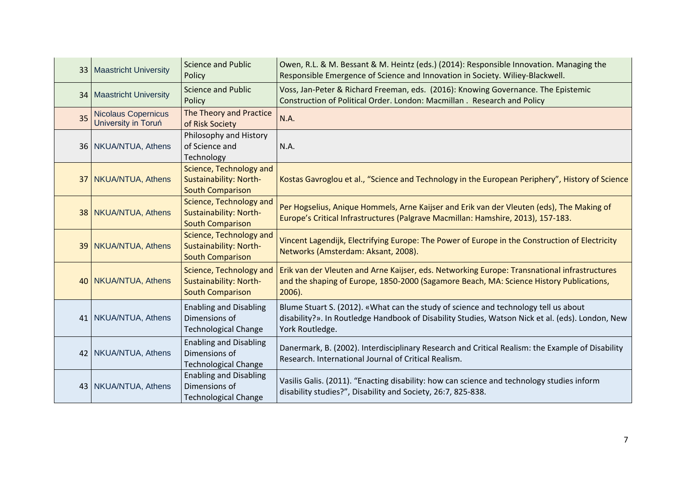|    | 33   Maastricht University                        | <b>Science and Public</b><br>Policy                                           | Owen, R.L. & M. Bessant & M. Heintz (eds.) (2014): Responsible Innovation. Managing the<br>Responsible Emergence of Science and Innovation in Society. Wiliey-Blackwell.                                   |
|----|---------------------------------------------------|-------------------------------------------------------------------------------|------------------------------------------------------------------------------------------------------------------------------------------------------------------------------------------------------------|
|    | 34   Maastricht University                        | <b>Science and Public</b><br>Policy                                           | Voss, Jan-Peter & Richard Freeman, eds. (2016): Knowing Governance. The Epistemic<br>Construction of Political Order. London: Macmillan . Research and Policy                                              |
| 35 | <b>Nicolaus Copernicus</b><br>University in Toruń | The Theory and Practice<br>of Risk Society                                    | N.A.                                                                                                                                                                                                       |
|    | 36   NKUA/NTUA, Athens                            | Philosophy and History<br>of Science and<br>Technology                        | N.A.                                                                                                                                                                                                       |
|    | 37   NKUA/NTUA, Athens                            | Science, Technology and<br>Sustainability: North-<br><b>South Comparison</b>  | Kostas Gavroglou et al., "Science and Technology in the European Periphery", History of Science                                                                                                            |
|    | 38 NKUA/NTUA, Athens                              | Science, Technology and<br>Sustainability: North-<br><b>South Comparison</b>  | Per Hogselius, Anique Hommels, Arne Kaijser and Erik van der Vleuten (eds), The Making of<br>Europe's Critical Infrastructures (Palgrave Macmillan: Hamshire, 2013), 157-183.                              |
|    | 39 NKUA/NTUA, Athens                              | Science, Technology and<br>Sustainability: North-<br><b>South Comparison</b>  | Vincent Lagendijk, Electrifying Europe: The Power of Europe in the Construction of Electricity<br>Networks (Amsterdam: Aksant, 2008).                                                                      |
|    | 40 NKUA/NTUA, Athens                              | Science, Technology and<br>Sustainability: North-<br><b>South Comparison</b>  | Erik van der Vleuten and Arne Kaijser, eds. Networking Europe: Transnational infrastructures<br>and the shaping of Europe, 1850-2000 (Sagamore Beach, MA: Science History Publications,<br>$2006$ ).       |
|    | 41   NKUA/NTUA, Athens                            | <b>Enabling and Disabling</b><br>Dimensions of<br><b>Technological Change</b> | Blume Stuart S. (2012). «What can the study of science and technology tell us about<br>disability?». In Routledge Handbook of Disability Studies, Watson Nick et al. (eds). London, New<br>York Routledge. |
|    | 42   NKUA/NTUA, Athens                            | <b>Enabling and Disabling</b><br>Dimensions of<br><b>Technological Change</b> | Danermark, B. (2002). Interdisciplinary Research and Critical Realism: the Example of Disability<br>Research, International Journal of Critical Realism.                                                   |
|    | 43   NKUA/NTUA, Athens                            | <b>Enabling and Disabling</b><br>Dimensions of<br><b>Technological Change</b> | Vasilis Galis. (2011). "Enacting disability: how can science and technology studies inform<br>disability studies?", Disability and Society, 26:7, 825-838.                                                 |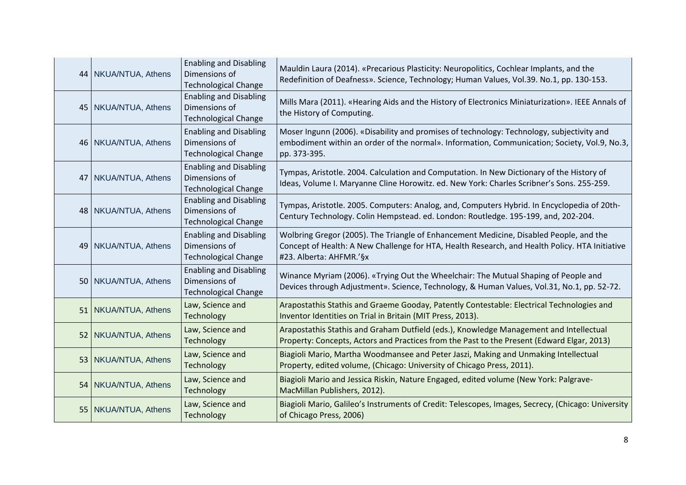| 44   NKUA/NTUA, Athens | <b>Enabling and Disabling</b><br>Dimensions of<br><b>Technological Change</b> | Mauldin Laura (2014). «Precarious Plasticity: Neuropolitics, Cochlear Implants, and the<br>Redefinition of Deafness». Science, Technology; Human Values, Vol.39. No.1, pp. 130-153.                                 |
|------------------------|-------------------------------------------------------------------------------|---------------------------------------------------------------------------------------------------------------------------------------------------------------------------------------------------------------------|
| 45   NKUA/NTUA, Athens | <b>Enabling and Disabling</b><br>Dimensions of<br><b>Technological Change</b> | Mills Mara (2011). «Hearing Aids and the History of Electronics Miniaturization». IEEE Annals of<br>the History of Computing.                                                                                       |
| 46   NKUA/NTUA, Athens | <b>Enabling and Disabling</b><br>Dimensions of<br><b>Technological Change</b> | Moser Ingunn (2006). «Disability and promises of technology: Technology, subjectivity and<br>embodiment within an order of the normal». Information, Communication; Society, Vol.9, No.3,<br>pp. 373-395.           |
| 47   NKUA/NTUA, Athens | <b>Enabling and Disabling</b><br>Dimensions of<br><b>Technological Change</b> | Tympas, Aristotle. 2004. Calculation and Computation. In New Dictionary of the History of<br>Ideas, Volume I. Maryanne Cline Horowitz. ed. New York: Charles Scribner's Sons. 255-259.                              |
| 48   NKUA/NTUA, Athens | <b>Enabling and Disabling</b><br>Dimensions of<br><b>Technological Change</b> | Tympas, Aristotle. 2005. Computers: Analog, and, Computers Hybrid. In Encyclopedia of 20th-<br>Century Technology. Colin Hempstead. ed. London: Routledge. 195-199, and, 202-204.                                   |
| 49   NKUA/NTUA, Athens | <b>Enabling and Disabling</b><br>Dimensions of<br><b>Technological Change</b> | Wolbring Gregor (2005). The Triangle of Enhancement Medicine, Disabled People, and the<br>Concept of Health: A New Challenge for HTA, Health Research, and Health Policy. HTA Initiative<br>#23. Alberta: AHFMR.'§x |
| 50   NKUA/NTUA, Athens | <b>Enabling and Disabling</b><br>Dimensions of<br><b>Technological Change</b> | Winance Myriam (2006). «Trying Out the Wheelchair: The Mutual Shaping of People and<br>Devices through Adjustment». Science, Technology, & Human Values, Vol.31, No.1, pp. 52-72.                                   |
| 51   NKUA/NTUA, Athens | Law, Science and<br>Technology                                                | Arapostathis Stathis and Graeme Gooday, Patently Contestable: Electrical Technologies and<br>Inventor Identities on Trial in Britain (MIT Press, 2013).                                                             |
| 52   NKUA/NTUA, Athens | Law, Science and<br>Technology                                                | Arapostathis Stathis and Graham Dutfield (eds.), Knowledge Management and Intellectual<br>Property: Concepts, Actors and Practices from the Past to the Present (Edward Elgar, 2013)                                |
| 53   NKUA/NTUA, Athens | Law, Science and<br>Technology                                                | Biagioli Mario, Martha Woodmansee and Peter Jaszi, Making and Unmaking Intellectual<br>Property, edited volume, (Chicago: University of Chicago Press, 2011).                                                       |
| 54   NKUA/NTUA, Athens | Law, Science and<br>Technology                                                | Biagioli Mario and Jessica Riskin, Nature Engaged, edited volume (New York: Palgrave-<br>MacMillan Publishers, 2012).                                                                                               |
| 55 NKUA/NTUA, Athens   | Law, Science and<br>Technology                                                | Biagioli Mario, Galileo's Instruments of Credit: Telescopes, Images, Secrecy, (Chicago: University<br>of Chicago Press, 2006)                                                                                       |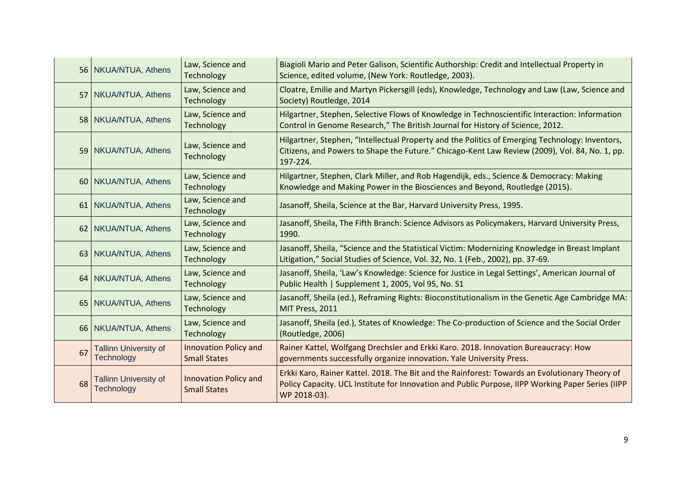|    | 56   NKUA/NTUA, Athens                            | Law, Science and<br>Technology                      | Biagioli Mario and Peter Galison, Scientific Authorship: Credit and Intellectual Property in<br>Science, edited volume, (New York: Routledge, 2003).                                                                |
|----|---------------------------------------------------|-----------------------------------------------------|---------------------------------------------------------------------------------------------------------------------------------------------------------------------------------------------------------------------|
|    | 57 NKUA/NTUA, Athens                              | Law, Science and<br>Technology                      | Cloatre, Emilie and Martyn Pickersgill (eds), Knowledge, Technology and Law (Law, Science and<br>Society) Routledge, 2014                                                                                           |
|    | 58   NKUA/NTUA, Athens                            | Law, Science and<br>Technology                      | Hilgartner, Stephen, Selective Flows of Knowledge in Technoscientific Interaction: Information<br>Control in Genome Research," The British Journal for History of Science, 2012.                                    |
|    | 59   NKUA/NTUA, Athens                            | Law, Science and<br>Technology                      | Hilgartner, Stephen, "Intellectual Property and the Politics of Emerging Technology: Inventors,<br>Citizens, and Powers to Shape the Future." Chicago-Kent Law Review (2009), Vol. 84, No. 1, pp.<br>197-224.       |
|    | 60 NKUA/NTUA, Athens                              | Law, Science and<br>Technology                      | Hilgartner, Stephen, Clark Miller, and Rob Hagendijk, eds., Science & Democracy: Making<br>Knowledge and Making Power in the Biosciences and Beyond, Routledge (2015).                                              |
|    | 61   NKUA/NTUA, Athens                            | Law, Science and<br>Technology                      | Jasanoff, Sheila, Science at the Bar, Harvard University Press, 1995.                                                                                                                                               |
|    | 62   NKUA/NTUA, Athens                            | Law, Science and<br>Technology                      | Jasanoff, Sheila, The Fifth Branch: Science Advisors as Policymakers, Harvard University Press,<br>1990.                                                                                                            |
|    | 63   NKUA/NTUA, Athens                            | Law, Science and<br>Technology                      | Jasanoff, Sheila, "Science and the Statistical Victim: Modernizing Knowledge in Breast Implant<br>Litigation," Social Studies of Science, Vol. 32, No. 1 (Feb., 2002), pp. 37-69.                                   |
|    | 64   NKUA/NTUA, Athens                            | Law, Science and<br>Technology                      | Jasanoff, Sheila, 'Law's Knowledge: Science for Justice in Legal Settings', American Journal of<br>Public Health   Supplement 1, 2005, Vol 95, No. S1                                                               |
|    | 65   NKUA/NTUA, Athens                            | Law, Science and<br>Technology                      | Jasanoff, Sheila (ed.), Reframing Rights: Bioconstitutionalism in the Genetic Age Cambridge MA:<br>MIT Press, 2011                                                                                                  |
|    | 66   NKUA/NTUA, Athens                            | Law, Science and<br>Technology                      | Jasanoff, Sheila (ed.), States of Knowledge: The Co-production of Science and the Social Order<br>(Routledge, 2006)                                                                                                 |
| 67 | <b>Tallinn University of</b><br><b>Technology</b> | <b>Innovation Policy and</b><br><b>Small States</b> | Rainer Kattel, Wolfgang Drechsler and Erkki Karo. 2018. Innovation Bureaucracy: How<br>governments successfully organize innovation. Yale University Press.                                                         |
| 68 | <b>Tallinn University of</b><br>Technology        | <b>Innovation Policy and</b><br><b>Small States</b> | Erkki Karo, Rainer Kattel. 2018. The Bit and the Rainforest: Towards an Evolutionary Theory of<br>Policy Capacity. UCL Institute for Innovation and Public Purpose, IIPP Working Paper Series (IIPP<br>WP 2018-03). |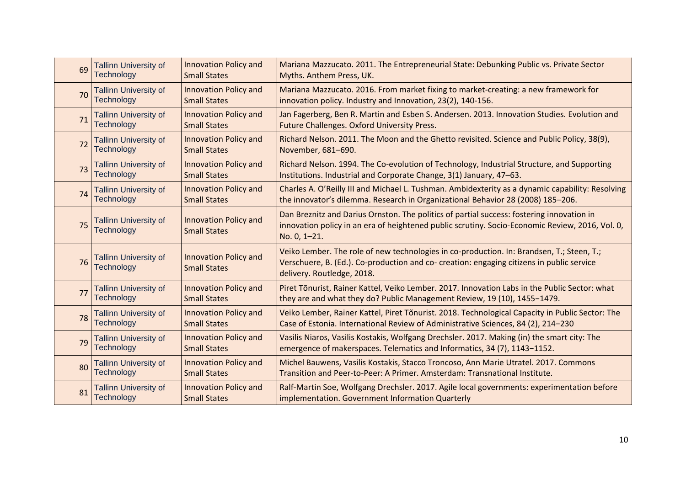| 69 | <b>Tallinn University of</b>                      | <b>Innovation Policy and</b>                        | Mariana Mazzucato. 2011. The Entrepreneurial State: Debunking Public vs. Private Sector                                                                                                                              |
|----|---------------------------------------------------|-----------------------------------------------------|----------------------------------------------------------------------------------------------------------------------------------------------------------------------------------------------------------------------|
|    | <b>Technology</b>                                 | <b>Small States</b>                                 | Myths. Anthem Press, UK.                                                                                                                                                                                             |
| 70 | <b>Tallinn University of</b>                      | <b>Innovation Policy and</b>                        | Mariana Mazzucato. 2016. From market fixing to market-creating: a new framework for                                                                                                                                  |
|    | <b>Technology</b>                                 | <b>Small States</b>                                 | innovation policy. Industry and Innovation, 23(2), 140-156.                                                                                                                                                          |
| 71 | <b>Tallinn University of</b>                      | <b>Innovation Policy and</b>                        | Jan Fagerberg, Ben R. Martin and Esben S. Andersen. 2013. Innovation Studies. Evolution and                                                                                                                          |
|    | <b>Technology</b>                                 | <b>Small States</b>                                 | Future Challenges. Oxford University Press.                                                                                                                                                                          |
| 72 | <b>Tallinn University of</b>                      | <b>Innovation Policy and</b>                        | Richard Nelson. 2011. The Moon and the Ghetto revisited. Science and Public Policy, 38(9),                                                                                                                           |
|    | <b>Technology</b>                                 | <b>Small States</b>                                 | November, 681-690.                                                                                                                                                                                                   |
| 73 | <b>Tallinn University of</b>                      | <b>Innovation Policy and</b>                        | Richard Nelson. 1994. The Co-evolution of Technology, Industrial Structure, and Supporting                                                                                                                           |
|    | <b>Technology</b>                                 | <b>Small States</b>                                 | Institutions. Industrial and Corporate Change, 3(1) January, 47-63.                                                                                                                                                  |
| 74 | <b>Tallinn University of</b>                      | <b>Innovation Policy and</b>                        | Charles A. O'Reilly III and Michael L. Tushman. Ambidexterity as a dynamic capability: Resolving                                                                                                                     |
|    | <b>Technology</b>                                 | <b>Small States</b>                                 | the innovator's dilemma. Research in Organizational Behavior 28 (2008) 185-206.                                                                                                                                      |
| 75 | <b>Tallinn University of</b><br><b>Technology</b> | <b>Innovation Policy and</b><br><b>Small States</b> | Dan Breznitz and Darius Ornston. The politics of partial success: fostering innovation in<br>innovation policy in an era of heightened public scrutiny. Socio-Economic Review, 2016, Vol. 0,<br>No. 0, 1-21.         |
| 76 | <b>Tallinn University of</b><br><b>Technology</b> | <b>Innovation Policy and</b><br><b>Small States</b> | Veiko Lember. The role of new technologies in co-production. In: Brandsen, T.; Steen, T.;<br>Verschuere, B. (Ed.). Co-production and co- creation: engaging citizens in public service<br>delivery. Routledge, 2018. |
| 77 | <b>Tallinn University of</b>                      | <b>Innovation Policy and</b>                        | Piret Tõnurist, Rainer Kattel, Veiko Lember. 2017. Innovation Labs in the Public Sector: what                                                                                                                        |
|    | <b>Technology</b>                                 | <b>Small States</b>                                 | they are and what they do? Public Management Review, 19 (10), 1455-1479.                                                                                                                                             |
| 78 | <b>Tallinn University of</b>                      | <b>Innovation Policy and</b>                        | Veiko Lember, Rainer Kattel, Piret Tõnurist. 2018. Technological Capacity in Public Sector: The                                                                                                                      |
|    | <b>Technology</b>                                 | <b>Small States</b>                                 | Case of Estonia. International Review of Administrative Sciences, 84 (2), 214-230                                                                                                                                    |
| 79 | <b>Tallinn University of</b>                      | <b>Innovation Policy and</b>                        | Vasilis Niaros, Vasilis Kostakis, Wolfgang Drechsler. 2017. Making (in) the smart city: The                                                                                                                          |
|    | <b>Technology</b>                                 | <b>Small States</b>                                 | emergence of makerspaces. Telematics and Informatics, 34 (7), 1143-1152.                                                                                                                                             |
| 80 | <b>Tallinn University of</b>                      | <b>Innovation Policy and</b>                        | Michel Bauwens, Vasilis Kostakis, Stacco Troncoso, Ann Marie Utratel. 2017. Commons                                                                                                                                  |
|    | <b>Technology</b>                                 | <b>Small States</b>                                 | Transition and Peer-to-Peer: A Primer. Amsterdam: Transnational Institute.                                                                                                                                           |
| 81 | <b>Tallinn University of</b>                      | <b>Innovation Policy and</b>                        | Ralf-Martin Soe, Wolfgang Drechsler. 2017. Agile local governments: experimentation before                                                                                                                           |
|    | <b>Technology</b>                                 | <b>Small States</b>                                 | implementation. Government Information Quarterly                                                                                                                                                                     |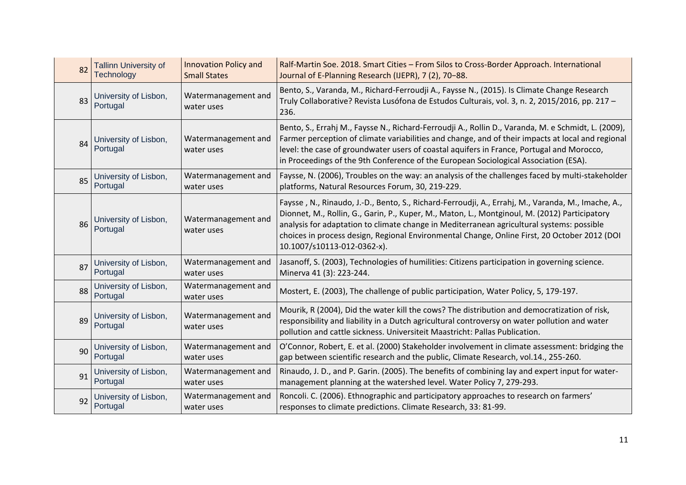| 82 | <b>Tallinn University of</b>      | Innovation Policy and             | Ralf-Martin Soe. 2018. Smart Cities - From Silos to Cross-Border Approach. International                                                                                                                                                                                                                                                                                                                                        |
|----|-----------------------------------|-----------------------------------|---------------------------------------------------------------------------------------------------------------------------------------------------------------------------------------------------------------------------------------------------------------------------------------------------------------------------------------------------------------------------------------------------------------------------------|
|    | <b>Technology</b>                 | <b>Small States</b>               | Journal of E-Planning Research (IJEPR), 7 (2), 70-88.                                                                                                                                                                                                                                                                                                                                                                           |
| 83 | University of Lisbon,<br>Portugal | Watermanagement and<br>water uses | Bento, S., Varanda, M., Richard-Ferroudji A., Faysse N., (2015). Is Climate Change Research<br>Truly Collaborative? Revista Lusófona de Estudos Culturais, vol. 3, n. 2, 2015/2016, pp. 217 -<br>236.                                                                                                                                                                                                                           |
| 84 | University of Lisbon,<br>Portugal | Watermanagement and<br>water uses | Bento, S., Errahj M., Faysse N., Richard-Ferroudji A., Rollin D., Varanda, M. e Schmidt, L. (2009),<br>Farmer perception of climate variabilities and change, and of their impacts at local and regional<br>level: the case of groundwater users of coastal aquifers in France, Portugal and Morocco,<br>in Proceedings of the 9th Conference of the European Sociological Association (ESA).                                   |
| 85 | University of Lisbon,             | Watermanagement and               | Faysse, N. (2006), Troubles on the way: an analysis of the challenges faced by multi-stakeholder                                                                                                                                                                                                                                                                                                                                |
|    | Portugal                          | water uses                        | platforms, Natural Resources Forum, 30, 219-229.                                                                                                                                                                                                                                                                                                                                                                                |
| 86 | University of Lisbon,<br>Portugal | Watermanagement and<br>water uses | Faysse, N., Rinaudo, J.-D., Bento, S., Richard-Ferroudji, A., Errahj, M., Varanda, M., Imache, A.,<br>Dionnet, M., Rollin, G., Garin, P., Kuper, M., Maton, L., Montginoul, M. (2012) Participatory<br>analysis for adaptation to climate change in Mediterranean agricultural systems: possible<br>choices in process design, Regional Environmental Change, Online First, 20 October 2012 (DOI<br>10.1007/s10113-012-0362-x). |
| 87 | University of Lisbon,             | Watermanagement and               | Jasanoff, S. (2003), Technologies of humilities: Citizens participation in governing science.                                                                                                                                                                                                                                                                                                                                   |
|    | Portugal                          | water uses                        | Minerva 41 (3): 223-244.                                                                                                                                                                                                                                                                                                                                                                                                        |
| 88 | University of Lisbon,<br>Portugal | Watermanagement and<br>water uses | Mostert, E. (2003), The challenge of public participation, Water Policy, 5, 179-197.                                                                                                                                                                                                                                                                                                                                            |
| 89 | University of Lisbon,<br>Portugal | Watermanagement and<br>water uses | Mourik, R (2004), Did the water kill the cows? The distribution and democratization of risk,<br>responsibility and liability in a Dutch agricultural controversy on water pollution and water<br>pollution and cattle sickness. Universiteit Maastricht: Pallas Publication.                                                                                                                                                    |
| 90 | University of Lisbon,             | Watermanagement and               | O'Connor, Robert, E. et al. (2000) Stakeholder involvement in climate assessment: bridging the                                                                                                                                                                                                                                                                                                                                  |
|    | Portugal                          | water uses                        | gap between scientific research and the public, Climate Research, vol.14., 255-260.                                                                                                                                                                                                                                                                                                                                             |
| 91 | University of Lisbon,             | Watermanagement and               | Rinaudo, J. D., and P. Garin. (2005). The benefits of combining lay and expert input for water-                                                                                                                                                                                                                                                                                                                                 |
|    | Portugal                          | water uses                        | management planning at the watershed level. Water Policy 7, 279-293.                                                                                                                                                                                                                                                                                                                                                            |
| 92 | University of Lisbon,             | Watermanagement and               | Roncoli. C. (2006). Ethnographic and participatory approaches to research on farmers'                                                                                                                                                                                                                                                                                                                                           |
|    | Portugal                          | water uses                        | responses to climate predictions. Climate Research, 33: 81-99.                                                                                                                                                                                                                                                                                                                                                                  |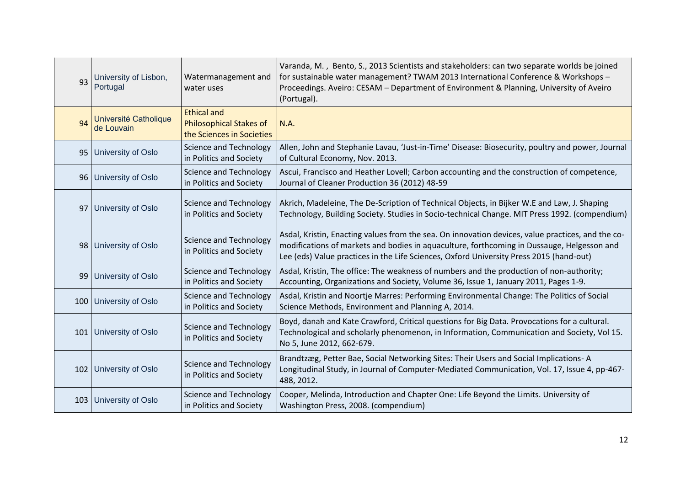| 93  | University of Lisbon,<br>Portugal   | Watermanagement and<br>water uses                                                 | Varanda, M., Bento, S., 2013 Scientists and stakeholders: can two separate worlds be joined<br>for sustainable water management? TWAM 2013 International Conference & Workshops -<br>Proceedings. Aveiro: CESAM - Department of Environment & Planning, University of Aveiro<br>(Portugal). |
|-----|-------------------------------------|-----------------------------------------------------------------------------------|---------------------------------------------------------------------------------------------------------------------------------------------------------------------------------------------------------------------------------------------------------------------------------------------|
| 94  | Université Catholique<br>de Louvain | <b>Ethical and</b><br><b>Philosophical Stakes of</b><br>the Sciences in Societies | N.A.                                                                                                                                                                                                                                                                                        |
|     | 95   University of Oslo             | <b>Science and Technology</b><br>in Politics and Society                          | Allen, John and Stephanie Lavau, 'Just-in-Time' Disease: Biosecurity, poultry and power, Journal<br>of Cultural Economy, Nov. 2013.                                                                                                                                                         |
|     | 96   University of Oslo             | <b>Science and Technology</b><br>in Politics and Society                          | Ascui, Francisco and Heather Lovell; Carbon accounting and the construction of competence,<br>Journal of Cleaner Production 36 (2012) 48-59                                                                                                                                                 |
|     | 97 University of Oslo               | <b>Science and Technology</b><br>in Politics and Society                          | Akrich, Madeleine, The De-Scription of Technical Objects, in Bijker W.E and Law, J. Shaping<br>Technology, Building Society. Studies in Socio-technical Change. MIT Press 1992. (compendium)                                                                                                |
|     | 98 University of Oslo               | <b>Science and Technology</b><br>in Politics and Society                          | Asdal, Kristin, Enacting values from the sea. On innovation devices, value practices, and the co-<br>modifications of markets and bodies in aquaculture, forthcoming in Dussauge, Helgesson and<br>Lee (eds) Value practices in the Life Sciences, Oxford University Press 2015 (hand-out)  |
|     | 99 University of Oslo               | <b>Science and Technology</b><br>in Politics and Society                          | Asdal, Kristin, The office: The weakness of numbers and the production of non-authority;<br>Accounting, Organizations and Society, Volume 36, Issue 1, January 2011, Pages 1-9.                                                                                                             |
|     | 100 University of Oslo              | <b>Science and Technology</b><br>in Politics and Society                          | Asdal, Kristin and Noortje Marres: Performing Environmental Change: The Politics of Social<br>Science Methods, Environment and Planning A, 2014.                                                                                                                                            |
|     | 101 University of Oslo              | <b>Science and Technology</b><br>in Politics and Society                          | Boyd, danah and Kate Crawford, Critical questions for Big Data. Provocations for a cultural.<br>Technological and scholarly phenomenon, in Information, Communication and Society, Vol 15.<br>No 5, June 2012, 662-679.                                                                     |
|     | 102 University of Oslo              | <b>Science and Technology</b><br>in Politics and Society                          | Brandtzæg, Petter Bae, Social Networking Sites: Their Users and Social Implications-A<br>Longitudinal Study, in Journal of Computer-Mediated Communication, Vol. 17, Issue 4, pp-467-<br>488, 2012.                                                                                         |
| 103 | University of Oslo                  | <b>Science and Technology</b><br>in Politics and Society                          | Cooper, Melinda, Introduction and Chapter One: Life Beyond the Limits. University of<br>Washington Press, 2008. (compendium)                                                                                                                                                                |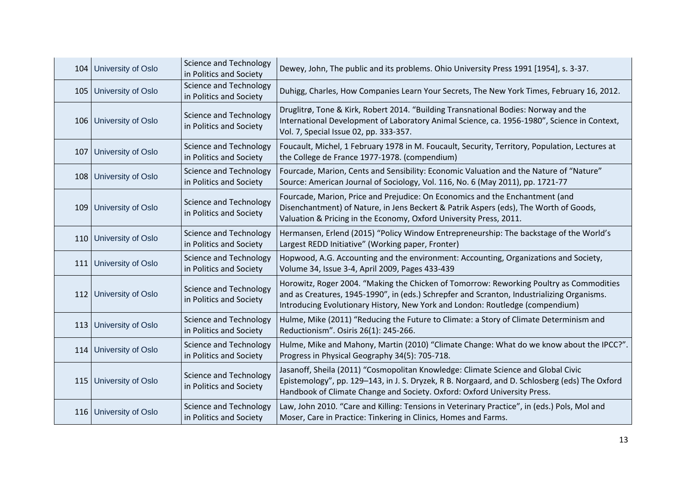| 104 University of Oslo | Science and Technology<br>in Politics and Society        | Dewey, John, The public and its problems. Ohio University Press 1991 [1954], s. 3-37.                                                                                                                                                                                  |
|------------------------|----------------------------------------------------------|------------------------------------------------------------------------------------------------------------------------------------------------------------------------------------------------------------------------------------------------------------------------|
| 105 University of Oslo | <b>Science and Technology</b><br>in Politics and Society | Duhigg, Charles, How Companies Learn Your Secrets, The New York Times, February 16, 2012.                                                                                                                                                                              |
| 106 University of Oslo | <b>Science and Technology</b><br>in Politics and Society | Druglitrø, Tone & Kirk, Robert 2014. "Building Transnational Bodies: Norway and the<br>International Development of Laboratory Animal Science, ca. 1956-1980", Science in Context,<br>Vol. 7, Special Issue 02, pp. 333-357.                                           |
| 107 University of Oslo | <b>Science and Technology</b><br>in Politics and Society | Foucault, Michel, 1 February 1978 in M. Foucault, Security, Territory, Population, Lectures at<br>the College de France 1977-1978. (compendium)                                                                                                                        |
| 108 University of Oslo | Science and Technology<br>in Politics and Society        | Fourcade, Marion, Cents and Sensibility: Economic Valuation and the Nature of "Nature"<br>Source: American Journal of Sociology, Vol. 116, No. 6 (May 2011), pp. 1721-77                                                                                               |
| 109 University of Oslo | <b>Science and Technology</b><br>in Politics and Society | Fourcade, Marion, Price and Prejudice: On Economics and the Enchantment (and<br>Disenchantment) of Nature, in Jens Beckert & Patrik Aspers (eds), The Worth of Goods,<br>Valuation & Pricing in the Economy, Oxford University Press, 2011.                            |
| 110 University of Oslo | <b>Science and Technology</b><br>in Politics and Society | Hermansen, Erlend (2015) "Policy Window Entrepreneurship: The backstage of the World's<br>Largest REDD Initiative" (Working paper, Fronter)                                                                                                                            |
| 111 University of Oslo | Science and Technology<br>in Politics and Society        | Hopwood, A.G. Accounting and the environment: Accounting, Organizations and Society,<br>Volume 34, Issue 3-4, April 2009, Pages 433-439                                                                                                                                |
| 112 University of Oslo | <b>Science and Technology</b><br>in Politics and Society | Horowitz, Roger 2004. "Making the Chicken of Tomorrow: Reworking Poultry as Commodities<br>and as Creatures, 1945-1990", in (eds.) Schrepfer and Scranton, Industrializing Organisms.<br>Introducing Evolutionary History, New York and London: Routledge (compendium) |
| 113 University of Oslo | <b>Science and Technology</b><br>in Politics and Society | Hulme, Mike (2011) "Reducing the Future to Climate: a Story of Climate Determinism and<br>Reductionism". Osiris 26(1): 245-266.                                                                                                                                        |
| 114 University of Oslo | <b>Science and Technology</b><br>in Politics and Society | Hulme, Mike and Mahony, Martin (2010) "Climate Change: What do we know about the IPCC?".<br>Progress in Physical Geography 34(5): 705-718.                                                                                                                             |
| 115 University of Oslo | <b>Science and Technology</b><br>in Politics and Society | Jasanoff, Sheila (2011) "Cosmopolitan Knowledge: Climate Science and Global Civic<br>Epistemology", pp. 129-143, in J. S. Dryzek, R B. Norgaard, and D. Schlosberg (eds) The Oxford<br>Handbook of Climate Change and Society. Oxford: Oxford University Press.        |
| 116 University of Oslo | <b>Science and Technology</b><br>in Politics and Society | Law, John 2010. "Care and Killing: Tensions in Veterinary Practice", in (eds.) Pols, Mol and<br>Moser, Care in Practice: Tinkering in Clinics, Homes and Farms.                                                                                                        |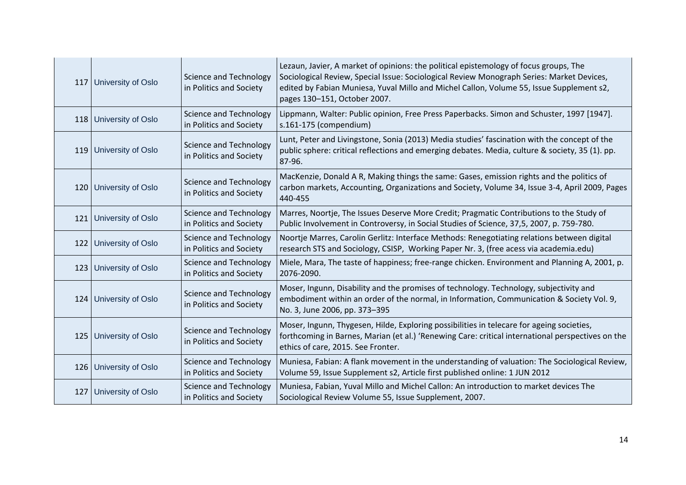|     | 117 University of Oslo   | <b>Science and Technology</b><br>in Politics and Society | Lezaun, Javier, A market of opinions: the political epistemology of focus groups, The<br>Sociological Review, Special Issue: Sociological Review Monograph Series: Market Devices,<br>edited by Fabian Muniesa, Yuval Millo and Michel Callon, Volume 55, Issue Supplement s2,<br>pages 130-151, October 2007. |
|-----|--------------------------|----------------------------------------------------------|----------------------------------------------------------------------------------------------------------------------------------------------------------------------------------------------------------------------------------------------------------------------------------------------------------------|
|     | 118 University of Oslo   | <b>Science and Technology</b><br>in Politics and Society | Lippmann, Walter: Public opinion, Free Press Paperbacks. Simon and Schuster, 1997 [1947].<br>s.161-175 (compendium)                                                                                                                                                                                            |
|     | 119 University of Oslo   | <b>Science and Technology</b><br>in Politics and Society | Lunt, Peter and Livingstone, Sonia (2013) Media studies' fascination with the concept of the<br>public sphere: critical reflections and emerging debates. Media, culture & society, 35 (1). pp.<br>87-96.                                                                                                      |
|     | 120   University of Oslo | Science and Technology<br>in Politics and Society        | MacKenzie, Donald A R, Making things the same: Gases, emission rights and the politics of<br>carbon markets, Accounting, Organizations and Society, Volume 34, Issue 3-4, April 2009, Pages<br>440-455                                                                                                         |
| 121 | University of Oslo       | <b>Science and Technology</b><br>in Politics and Society | Marres, Noortje, The Issues Deserve More Credit; Pragmatic Contributions to the Study of<br>Public Involvement in Controversy, in Social Studies of Science, 37,5, 2007, p. 759-780.                                                                                                                           |
|     | 122 University of Oslo   | Science and Technology<br>in Politics and Society        | Noortje Marres, Carolin Gerlitz: Interface Methods: Renegotiating relations between digital<br>research STS and Sociology, CSISP, Working Paper Nr. 3, (free acess via academia.edu)                                                                                                                           |
|     | 123 University of Oslo   | <b>Science and Technology</b><br>in Politics and Society | Miele, Mara, The taste of happiness; free-range chicken. Environment and Planning A, 2001, p.<br>2076-2090.                                                                                                                                                                                                    |
|     | 124 University of Oslo   | <b>Science and Technology</b><br>in Politics and Society | Moser, Ingunn, Disability and the promises of technology. Technology, subjectivity and<br>embodiment within an order of the normal, in Information, Communication & Society Vol. 9,<br>No. 3, June 2006, pp. 373-395                                                                                           |
|     | 125 University of Oslo   | Science and Technology<br>in Politics and Society        | Moser, Ingunn, Thygesen, Hilde, Exploring possibilities in telecare for ageing societies,<br>forthcoming in Barnes, Marian (et al.) 'Renewing Care: critical international perspectives on the<br>ethics of care, 2015. See Fronter.                                                                           |
|     | 126 University of Oslo   | <b>Science and Technology</b><br>in Politics and Society | Muniesa, Fabian: A flank movement in the understanding of valuation: The Sociological Review,<br>Volume 59, Issue Supplement s2, Article first published online: 1 JUN 2012                                                                                                                                    |
| 127 | University of Oslo       | <b>Science and Technology</b><br>in Politics and Society | Muniesa, Fabian, Yuval Millo and Michel Callon: An introduction to market devices The<br>Sociological Review Volume 55, Issue Supplement, 2007.                                                                                                                                                                |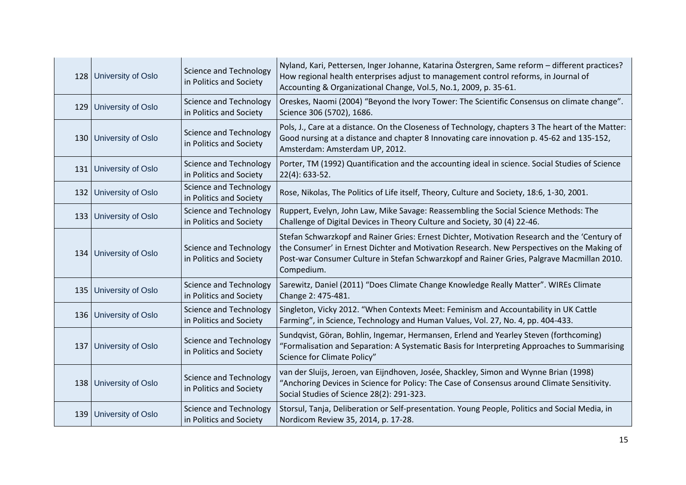| 128 University of Oslo | <b>Science and Technology</b><br>in Politics and Society | Nyland, Kari, Pettersen, Inger Johanne, Katarina Östergren, Same reform - different practices?<br>How regional health enterprises adjust to management control reforms, in Journal of<br>Accounting & Organizational Change, Vol.5, No.1, 2009, p. 35-61.                                              |
|------------------------|----------------------------------------------------------|--------------------------------------------------------------------------------------------------------------------------------------------------------------------------------------------------------------------------------------------------------------------------------------------------------|
| 129 University of Oslo | <b>Science and Technology</b><br>in Politics and Society | Oreskes, Naomi (2004) "Beyond the Ivory Tower: The Scientific Consensus on climate change".<br>Science 306 (5702), 1686.                                                                                                                                                                               |
| 130 University of Oslo | <b>Science and Technology</b><br>in Politics and Society | Pols, J., Care at a distance. On the Closeness of Technology, chapters 3 The heart of the Matter:<br>Good nursing at a distance and chapter 8 Innovating care innovation p. 45-62 and 135-152,<br>Amsterdam: Amsterdam UP, 2012.                                                                       |
| 131 University of Oslo | <b>Science and Technology</b><br>in Politics and Society | Porter, TM (1992) Quantification and the accounting ideal in science. Social Studies of Science<br>$22(4): 633-52.$                                                                                                                                                                                    |
| 132 University of Oslo | <b>Science and Technology</b><br>in Politics and Society | Rose, Nikolas, The Politics of Life itself, Theory, Culture and Society, 18:6, 1-30, 2001.                                                                                                                                                                                                             |
| 133 University of Oslo | <b>Science and Technology</b><br>in Politics and Society | Ruppert, Evelyn, John Law, Mike Savage: Reassembling the Social Science Methods: The<br>Challenge of Digital Devices in Theory Culture and Society, 30 (4) 22-46.                                                                                                                                      |
| 134 University of Oslo | <b>Science and Technology</b><br>in Politics and Society | Stefan Schwarzkopf and Rainer Gries: Ernest Dichter, Motivation Research and the 'Century of<br>the Consumer' in Ernest Dichter and Motivation Research. New Perspectives on the Making of<br>Post-war Consumer Culture in Stefan Schwarzkopf and Rainer Gries, Palgrave Macmillan 2010.<br>Compedium. |
| 135 University of Oslo | <b>Science and Technology</b><br>in Politics and Society | Sarewitz, Daniel (2011) "Does Climate Change Knowledge Really Matter". WIREs Climate<br>Change 2: 475-481.                                                                                                                                                                                             |
| 136 University of Oslo | <b>Science and Technology</b><br>in Politics and Society | Singleton, Vicky 2012. "When Contexts Meet: Feminism and Accountability in UK Cattle<br>Farming", in Science, Technology and Human Values, Vol. 27, No. 4, pp. 404-433.                                                                                                                                |
| 137 University of Oslo | <b>Science and Technology</b><br>in Politics and Society | Sundqvist, Göran, Bohlin, Ingemar, Hermansen, Erlend and Yearley Steven (forthcoming)<br>"Formalisation and Separation: A Systematic Basis for Interpreting Approaches to Summarising<br>Science for Climate Policy"                                                                                   |
| 138 University of Oslo | <b>Science and Technology</b><br>in Politics and Society | van der Sluijs, Jeroen, van Eijndhoven, Josée, Shackley, Simon and Wynne Brian (1998)<br>"Anchoring Devices in Science for Policy: The Case of Consensus around Climate Sensitivity.<br>Social Studies of Science 28(2): 291-323.                                                                      |
| 139 University of Oslo | <b>Science and Technology</b><br>in Politics and Society | Storsul, Tanja, Deliberation or Self-presentation. Young People, Politics and Social Media, in<br>Nordicom Review 35, 2014, p. 17-28.                                                                                                                                                                  |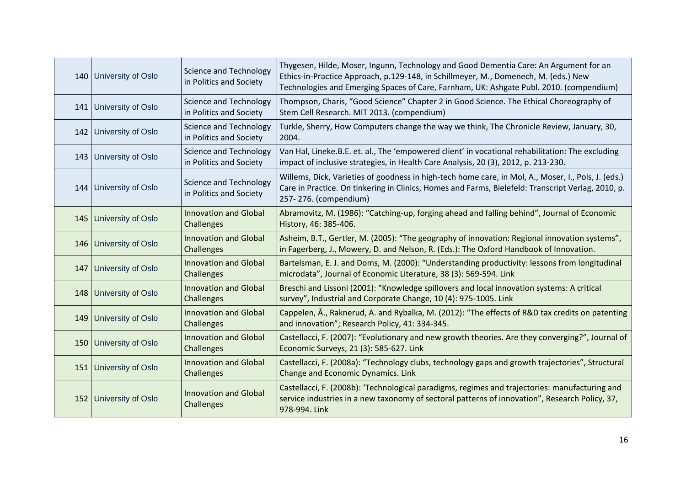|     | 140 University of Oslo   | <b>Science and Technology</b><br>in Politics and Society | Thygesen, Hilde, Moser, Ingunn, Technology and Good Dementia Care: An Argument for an<br>Ethics-in-Practice Approach, p.129-148, in Schillmeyer, M., Domenech, M. (eds.) New<br>Technologies and Emerging Spaces of Care, Farnham, UK: Ashgate Publ. 2010. (compendium) |
|-----|--------------------------|----------------------------------------------------------|-------------------------------------------------------------------------------------------------------------------------------------------------------------------------------------------------------------------------------------------------------------------------|
|     | 141 University of Oslo   | <b>Science and Technology</b><br>in Politics and Society | Thompson, Charis, "Good Science" Chapter 2 in Good Science. The Ethical Choreography of<br>Stem Cell Research. MIT 2013. (compendium)                                                                                                                                   |
|     | 142 University of Oslo   | <b>Science and Technology</b><br>in Politics and Society | Turkle, Sherry, How Computers change the way we think, The Chronicle Review, January, 30,<br>2004.                                                                                                                                                                      |
|     | 143 University of Oslo   | <b>Science and Technology</b><br>in Politics and Society | Van Hal, Lineke.B.E. et. al., The 'empowered client' in vocational rehabilitation: The excluding<br>impact of inclusive strategies, in Health Care Analysis, 20 (3), 2012, p. 213-230.                                                                                  |
|     | 144 University of Oslo   | <b>Science and Technology</b><br>in Politics and Society | Willems, Dick, Varieties of goodness in high-tech home care, in Mol, A., Moser, I., Pols, J. (eds.)<br>Care in Practice. On tinkering in Clinics, Homes and Farms, Bielefeld: Transcript Verlag, 2010, p.<br>257-276. (compendium)                                      |
|     | 145   University of Oslo | <b>Innovation and Global</b><br>Challenges               | Abramovitz, M. (1986): "Catching-up, forging ahead and falling behind", Journal of Economic<br>History, 46: 385-406.                                                                                                                                                    |
|     | 146 University of Oslo   | <b>Innovation and Global</b><br>Challenges               | Asheim, B.T., Gertler, M. (2005): "The geography of innovation: Regional innovation systems",<br>in Fagerberg, J., Mowery, D. and Nelson, R. (Eds.): The Oxford Handbook of Innovation.                                                                                 |
| 147 | University of Oslo       | <b>Innovation and Global</b><br>Challenges               | Bartelsman, E. J. and Doms, M. (2000): "Understanding productivity: lessons from longitudinal<br>microdata", Journal of Economic Literature, 38 (3): 569-594. Link                                                                                                      |
|     | 148 University of Oslo   | <b>Innovation and Global</b><br>Challenges               | Breschi and Lissoni (2001): "Knowledge spillovers and local innovation systems: A critical<br>survey", Industrial and Corporate Change, 10 (4): 975-1005. Link                                                                                                          |
|     | 149 University of Oslo   | <b>Innovation and Global</b><br>Challenges               | Cappelen, Å., Raknerud, A. and Rybalka, M. (2012): "The effects of R&D tax credits on patenting<br>and innovation"; Research Policy, 41: 334-345.                                                                                                                       |
|     | 150 University of Oslo   | <b>Innovation and Global</b><br>Challenges               | Castellacci, F. (2007): "Evolutionary and new growth theories. Are they converging?", Journal of<br>Economic Surveys, 21 (3): 585-627. Link                                                                                                                             |
|     | 151 University of Oslo   | <b>Innovation and Global</b><br>Challenges               | Castellacci, F. (2008a): "Technology clubs, technology gaps and growth trajectories", Structural<br><b>Change and Economic Dynamics. Link</b>                                                                                                                           |
|     | 152 University of Oslo   | <b>Innovation and Global</b><br>Challenges               | Castellacci, F. (2008b): 'Technological paradigms, regimes and trajectories: manufacturing and<br>service industries in a new taxonomy of sectoral patterns of innovation", Research Policy, 37,<br>978-994. Link                                                       |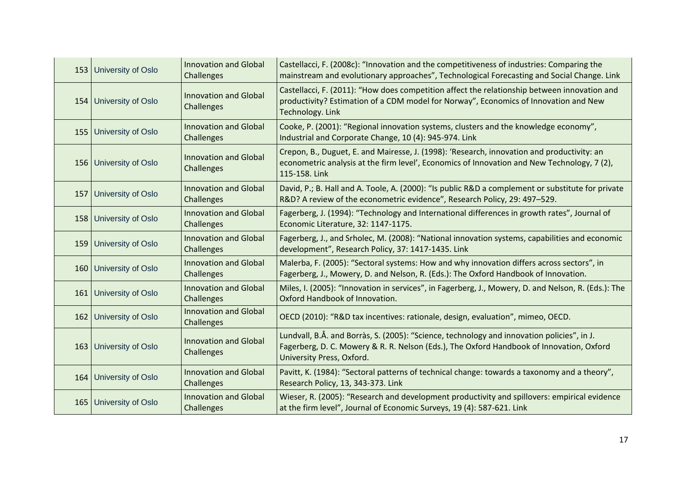| 153 University of Oslo   | <b>Innovation and Global</b><br>Challenges | Castellacci, F. (2008c): "Innovation and the competitiveness of industries: Comparing the<br>mainstream and evolutionary approaches", Technological Forecasting and Social Change. Link                             |
|--------------------------|--------------------------------------------|---------------------------------------------------------------------------------------------------------------------------------------------------------------------------------------------------------------------|
| 154 University of Oslo   | <b>Innovation and Global</b><br>Challenges | Castellacci, F. (2011): "How does competition affect the relationship between innovation and<br>productivity? Estimation of a CDM model for Norway", Economics of Innovation and New<br>Technology. Link            |
| 155 University of Oslo   | <b>Innovation and Global</b><br>Challenges | Cooke, P. (2001): "Regional innovation systems, clusters and the knowledge economy",<br>Industrial and Corporate Change, 10 (4): 945-974. Link                                                                      |
| 156 University of Oslo   | <b>Innovation and Global</b><br>Challenges | Crepon, B., Duguet, E. and Mairesse, J. (1998): 'Research, innovation and productivity: an<br>econometric analysis at the firm level', Economics of Innovation and New Technology, 7 (2),<br>115-158. Link          |
| 157 University of Oslo   | <b>Innovation and Global</b><br>Challenges | David, P.; B. Hall and A. Toole, A. (2000): "Is public R&D a complement or substitute for private<br>R&D? A review of the econometric evidence", Research Policy, 29: 497-529.                                      |
| 158 University of Oslo   | <b>Innovation and Global</b><br>Challenges | Fagerberg, J. (1994): "Technology and International differences in growth rates", Journal of<br>Economic Literature, 32: 1147-1175.                                                                                 |
| 159 University of Oslo   | <b>Innovation and Global</b><br>Challenges | Fagerberg, J., and Srholec, M. (2008): "National innovation systems, capabilities and economic<br>development", Research Policy, 37: 1417-1435. Link                                                                |
| 160 University of Oslo   | <b>Innovation and Global</b><br>Challenges | Malerba, F. (2005): "Sectoral systems: How and why innovation differs across sectors", in<br>Fagerberg, J., Mowery, D. and Nelson, R. (Eds.): The Oxford Handbook of Innovation.                                    |
| 161 University of Oslo   | <b>Innovation and Global</b><br>Challenges | Miles, I. (2005): "Innovation in services", in Fagerberg, J., Mowery, D. and Nelson, R. (Eds.): The<br>Oxford Handbook of Innovation.                                                                               |
| 162 University of Oslo   | <b>Innovation and Global</b><br>Challenges | OECD (2010): "R&D tax incentives: rationale, design, evaluation", mimeo, OECD.                                                                                                                                      |
| 163 University of Oslo   | <b>Innovation and Global</b><br>Challenges | Lundvall, B.Å. and Borràs, S. (2005): "Science, technology and innovation policies", in J.<br>Fagerberg, D. C. Mowery & R. R. Nelson (Eds.), The Oxford Handbook of Innovation, Oxford<br>University Press, Oxford. |
| 164 University of Oslo   | <b>Innovation and Global</b><br>Challenges | Pavitt, K. (1984): "Sectoral patterns of technical change: towards a taxonomy and a theory",<br>Research Policy, 13, 343-373. Link                                                                                  |
| 165   University of Oslo | <b>Innovation and Global</b><br>Challenges | Wieser, R. (2005): "Research and development productivity and spillovers: empirical evidence<br>at the firm level", Journal of Economic Surveys, 19 (4): 587-621. Link                                              |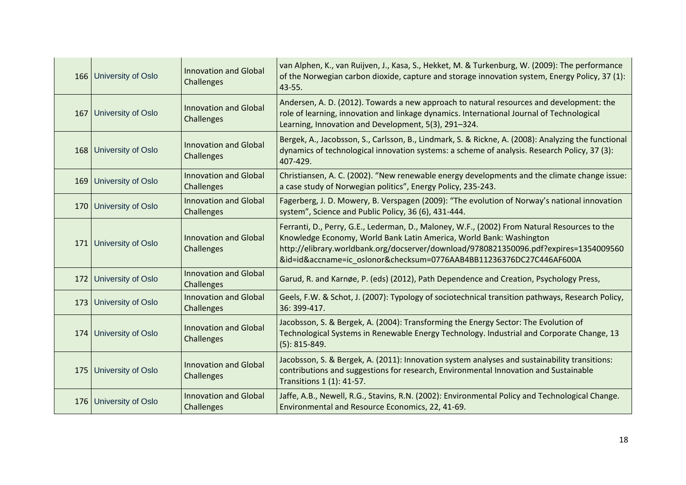| 166 University of Oslo | <b>Innovation and Global</b><br>Challenges | van Alphen, K., van Ruijven, J., Kasa, S., Hekket, M. & Turkenburg, W. (2009): The performance<br>of the Norwegian carbon dioxide, capture and storage innovation system, Energy Policy, 37 (1):<br>43-55.                                                                                                                          |
|------------------------|--------------------------------------------|-------------------------------------------------------------------------------------------------------------------------------------------------------------------------------------------------------------------------------------------------------------------------------------------------------------------------------------|
| 167 University of Oslo | <b>Innovation and Global</b><br>Challenges | Andersen, A. D. (2012). Towards a new approach to natural resources and development: the<br>role of learning, innovation and linkage dynamics. International Journal of Technological<br>Learning, Innovation and Development, 5(3), 291-324.                                                                                       |
| 168 University of Oslo | <b>Innovation and Global</b><br>Challenges | Bergek, A., Jacobsson, S., Carlsson, B., Lindmark, S. & Rickne, A. (2008): Analyzing the functional<br>dynamics of technological innovation systems: a scheme of analysis. Research Policy, 37 (3):<br>407-429.                                                                                                                     |
| 169 University of Oslo | <b>Innovation and Global</b><br>Challenges | Christiansen, A. C. (2002). "New renewable energy developments and the climate change issue:<br>a case study of Norwegian politics", Energy Policy, 235-243.                                                                                                                                                                        |
| 170 University of Oslo | <b>Innovation and Global</b><br>Challenges | Fagerberg, J. D. Mowery, B. Verspagen (2009): "The evolution of Norway's national innovation<br>system", Science and Public Policy, 36 (6), 431-444.                                                                                                                                                                                |
| 171 University of Oslo | <b>Innovation and Global</b><br>Challenges | Ferranti, D., Perry, G.E., Lederman, D., Maloney, W.F., (2002) From Natural Resources to the<br>Knowledge Economy, World Bank Latin America, World Bank: Washington<br>http://elibrary.worldbank.org/docserver/download/9780821350096.pdf?expires=1354009560<br>&id=id&accname=ic_oslonor&checksum=0776AAB4BB11236376DC27C446AF600A |
| 172 University of Oslo | Innovation and Global<br>Challenges        | Garud, R. and Karnøe, P. (eds) (2012), Path Dependence and Creation, Psychology Press,                                                                                                                                                                                                                                              |
| 173 University of Oslo | <b>Innovation and Global</b><br>Challenges | Geels, F.W. & Schot, J. (2007): Typology of sociotechnical transition pathways, Research Policy,<br>36: 399-417.                                                                                                                                                                                                                    |
| 174 University of Oslo | <b>Innovation and Global</b><br>Challenges | Jacobsson, S. & Bergek, A. (2004): Transforming the Energy Sector: The Evolution of<br>Technological Systems in Renewable Energy Technology. Industrial and Corporate Change, 13<br>$(5): 815 - 849.$                                                                                                                               |
| 175 University of Oslo | <b>Innovation and Global</b><br>Challenges | Jacobsson, S. & Bergek, A. (2011): Innovation system analyses and sustainability transitions:<br>contributions and suggestions for research, Environmental Innovation and Sustainable<br>Transitions 1 (1): 41-57.                                                                                                                  |
| 176 University of Oslo | <b>Innovation and Global</b><br>Challenges | Jaffe, A.B., Newell, R.G., Stavins, R.N. (2002): Environmental Policy and Technological Change.<br>Environmental and Resource Economics, 22, 41-69.                                                                                                                                                                                 |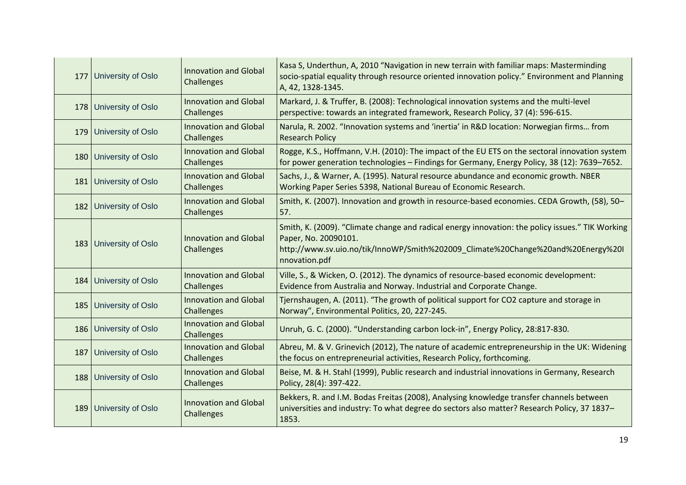|     | 177 University of Oslo    | <b>Innovation and Global</b><br>Challenges | Kasa S, Underthun, A, 2010 "Navigation in new terrain with familiar maps: Masterminding<br>socio-spatial equality through resource oriented innovation policy." Environment and Planning<br>A, 42, 1328-1345.                 |
|-----|---------------------------|--------------------------------------------|-------------------------------------------------------------------------------------------------------------------------------------------------------------------------------------------------------------------------------|
|     | 178 University of Oslo    | <b>Innovation and Global</b><br>Challenges | Markard, J. & Truffer, B. (2008): Technological innovation systems and the multi-level<br>perspective: towards an integrated framework, Research Policy, 37 (4): 596-615.                                                     |
|     | 179 University of Oslo    | <b>Innovation and Global</b><br>Challenges | Narula, R. 2002. "Innovation systems and 'inertia' in R&D location: Norwegian firms from<br><b>Research Policy</b>                                                                                                            |
|     | 180 University of Oslo    | <b>Innovation and Global</b><br>Challenges | Rogge, K.S., Hoffmann, V.H. (2010): The impact of the EU ETS on the sectoral innovation system<br>for power generation technologies - Findings for Germany, Energy Policy, 38 (12): 7639-7652.                                |
|     | 181 University of Oslo    | <b>Innovation and Global</b><br>Challenges | Sachs, J., & Warner, A. (1995). Natural resource abundance and economic growth. NBER<br>Working Paper Series 5398, National Bureau of Economic Research.                                                                      |
|     | 182 University of Oslo    | <b>Innovation and Global</b><br>Challenges | Smith, K. (2007). Innovation and growth in resource-based economies. CEDA Growth, (58), 50-<br>57.                                                                                                                            |
|     | 183 University of Oslo    | <b>Innovation and Global</b><br>Challenges | Smith, K. (2009). "Climate change and radical energy innovation: the policy issues." TIK Working<br>Paper, No. 20090101.<br>http://www.sv.uio.no/tik/InnoWP/Smith%202009 Climate%20Change%20and%20Energy%20I<br>nnovation.pdf |
|     | 184 University of Oslo    | <b>Innovation and Global</b><br>Challenges | Ville, S., & Wicken, O. (2012). The dynamics of resource-based economic development:<br>Evidence from Australia and Norway. Industrial and Corporate Change.                                                                  |
|     | 185 University of Oslo    | <b>Innovation and Global</b><br>Challenges | Tjernshaugen, A. (2011). "The growth of political support for CO2 capture and storage in<br>Norway", Environmental Politics, 20, 227-245.                                                                                     |
|     | 186 University of Oslo    | <b>Innovation and Global</b><br>Challenges | Unruh, G. C. (2000). "Understanding carbon lock-in", Energy Policy, 28:817-830.                                                                                                                                               |
| 187 | <b>University of Oslo</b> | <b>Innovation and Global</b><br>Challenges | Abreu, M. & V. Grinevich (2012), The nature of academic entrepreneurship in the UK: Widening<br>the focus on entrepreneurial activities, Research Policy, forthcoming.                                                        |
|     | 188 University of Oslo    | <b>Innovation and Global</b><br>Challenges | Beise, M. & H. Stahl (1999), Public research and industrial innovations in Germany, Research<br>Policy, 28(4): 397-422.                                                                                                       |
|     | 189 University of Oslo    | <b>Innovation and Global</b><br>Challenges | Bekkers, R. and I.M. Bodas Freitas (2008), Analysing knowledge transfer channels between<br>universities and industry: To what degree do sectors also matter? Research Policy, 37 1837-<br>1853.                              |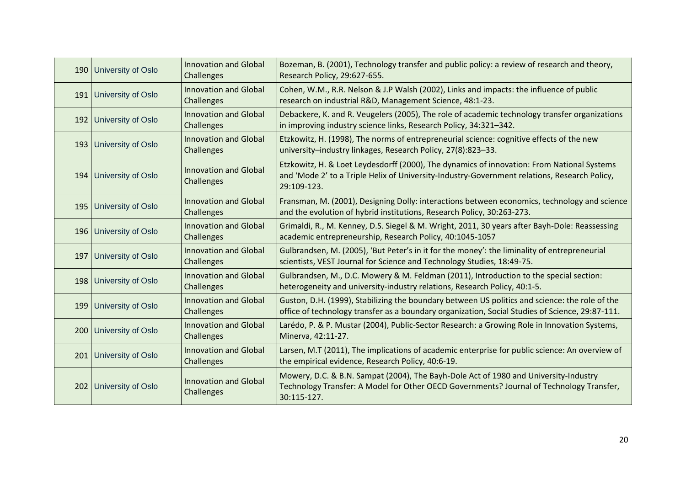| 190 University of Oslo   | <b>Innovation and Global</b><br>Challenges | Bozeman, B. (2001), Technology transfer and public policy: a review of research and theory,<br>Research Policy, 29:627-655.                                                                               |
|--------------------------|--------------------------------------------|-----------------------------------------------------------------------------------------------------------------------------------------------------------------------------------------------------------|
| 191 University of Oslo   | <b>Innovation and Global</b><br>Challenges | Cohen, W.M., R.R. Nelson & J.P Walsh (2002), Links and impacts: the influence of public<br>research on industrial R&D, Management Science, 48:1-23.                                                       |
| 192 University of Oslo   | <b>Innovation and Global</b><br>Challenges | Debackere, K. and R. Veugelers (2005), The role of academic technology transfer organizations<br>in improving industry science links, Research Policy, 34:321-342.                                        |
| 193 University of Oslo   | <b>Innovation and Global</b><br>Challenges | Etzkowitz, H. (1998), The norms of entrepreneurial science: cognitive effects of the new<br>university-industry linkages, Research Policy, 27(8):823-33.                                                  |
| 194 University of Oslo   | <b>Innovation and Global</b><br>Challenges | Etzkowitz, H. & Loet Leydesdorff (2000), The dynamics of innovation: From National Systems<br>and 'Mode 2' to a Triple Helix of University-Industry-Government relations, Research Policy,<br>29:109-123. |
| 195   University of Oslo | <b>Innovation and Global</b><br>Challenges | Fransman, M. (2001), Designing Dolly: interactions between economics, technology and science<br>and the evolution of hybrid institutions, Research Policy, 30:263-273.                                    |
| 196 University of Oslo   | <b>Innovation and Global</b><br>Challenges | Grimaldi, R., M. Kenney, D.S. Siegel & M. Wright, 2011, 30 years after Bayh-Dole: Reassessing<br>academic entrepreneurship, Research Policy, 40:1045-1057                                                 |
| 197 University of Oslo   | <b>Innovation and Global</b><br>Challenges | Gulbrandsen, M. (2005), 'But Peter's in it for the money': the liminality of entrepreneurial<br>scientists, VEST Journal for Science and Technology Studies, 18:49-75.                                    |
| 198 University of Oslo   | <b>Innovation and Global</b><br>Challenges | Gulbrandsen, M., D.C. Mowery & M. Feldman (2011), Introduction to the special section:<br>heterogeneity and university-industry relations, Research Policy, 40:1-5.                                       |
| 199 University of Oslo   | <b>Innovation and Global</b><br>Challenges | Guston, D.H. (1999), Stabilizing the boundary between US politics and science: the role of the<br>office of technology transfer as a boundary organization, Social Studies of Science, 29:87-111.         |
| 200 University of Oslo   | <b>Innovation and Global</b><br>Challenges | Larédo, P. & P. Mustar (2004), Public-Sector Research: a Growing Role in Innovation Systems,<br>Minerva, 42:11-27.                                                                                        |
| 201 University of Oslo   | <b>Innovation and Global</b><br>Challenges | Larsen, M.T (2011), The implications of academic enterprise for public science: An overview of<br>the empirical evidence, Research Policy, 40:6-19.                                                       |
| 202 University of Oslo   | <b>Innovation and Global</b><br>Challenges | Mowery, D.C. & B.N. Sampat (2004), The Bayh-Dole Act of 1980 and University-Industry<br>Technology Transfer: A Model for Other OECD Governments? Journal of Technology Transfer,<br>30:115-127.           |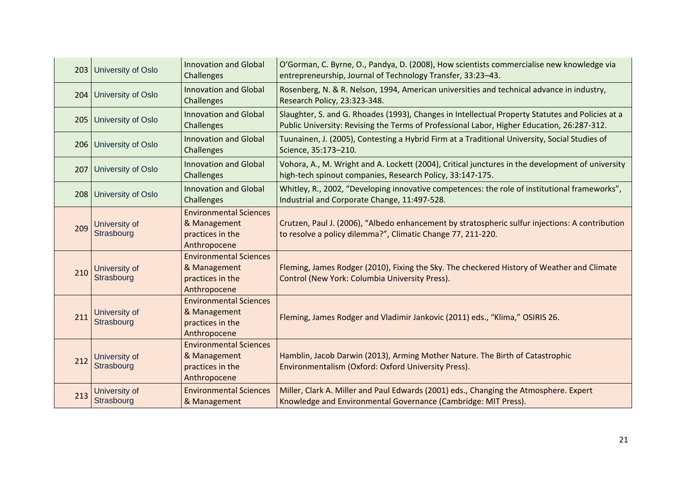|     | 203 University of Oslo      | <b>Innovation and Global</b><br>Challenges                                        | O'Gorman, C. Byrne, O., Pandya, D. (2008), How scientists commercialise new knowledge via<br>entrepreneurship, Journal of Technology Transfer, 33:23-43.                                       |
|-----|-----------------------------|-----------------------------------------------------------------------------------|------------------------------------------------------------------------------------------------------------------------------------------------------------------------------------------------|
| 204 | <b>University of Oslo</b>   | <b>Innovation and Global</b><br><b>Challenges</b>                                 | Rosenberg, N. & R. Nelson, 1994, American universities and technical advance in industry,<br>Research Policy, 23:323-348.                                                                      |
| 205 | University of Oslo          | <b>Innovation and Global</b><br>Challenges                                        | Slaughter, S. and G. Rhoades (1993), Changes in Intellectual Property Statutes and Policies at a<br>Public University: Revising the Terms of Professional Labor, Higher Education, 26:287-312. |
|     | 206 University of Oslo      | <b>Innovation and Global</b><br>Challenges                                        | Tuunainen, J. (2005), Contesting a Hybrid Firm at a Traditional University, Social Studies of<br>Science, 35:173-210.                                                                          |
| 207 | <b>University of Oslo</b>   | <b>Innovation and Global</b><br>Challenges                                        | Vohora, A., M. Wright and A. Lockett (2004), Critical junctures in the development of university<br>high-tech spinout companies, Research Policy, 33:147-175.                                  |
| 208 | <b>University of Oslo</b>   | <b>Innovation and Global</b><br>Challenges                                        | Whitley, R., 2002, "Developing innovative competences: the role of institutional frameworks",<br>Industrial and Corporate Change, 11:497-528.                                                  |
| 209 | University of<br>Strasbourg | <b>Environmental Sciences</b><br>& Management<br>practices in the<br>Anthropocene | Crutzen, Paul J. (2006), "Albedo enhancement by stratospheric sulfur injections: A contribution<br>to resolve a policy dilemma?", Climatic Change 77, 211-220.                                 |
| 210 | University of<br>Strasbourg | <b>Environmental Sciences</b><br>& Management<br>practices in the<br>Anthropocene | Fleming, James Rodger (2010), Fixing the Sky. The checkered History of Weather and Climate<br>Control (New York: Columbia University Press).                                                   |
| 211 | University of<br>Strasbourg | <b>Environmental Sciences</b><br>& Management<br>practices in the<br>Anthropocene | Fleming, James Rodger and Vladimir Jankovic (2011) eds., "Klima," OSIRIS 26.                                                                                                                   |
| 212 | University of<br>Strasbourg | <b>Environmental Sciences</b><br>& Management<br>practices in the<br>Anthropocene | Hamblin, Jacob Darwin (2013), Arming Mother Nature. The Birth of Catastrophic<br>Environmentalism (Oxford: Oxford University Press).                                                           |
| 213 | University of<br>Strasbourg | <b>Environmental Sciences</b><br>& Management                                     | Miller, Clark A. Miller and Paul Edwards (2001) eds., Changing the Atmosphere. Expert<br>Knowledge and Environmental Governance (Cambridge: MIT Press).                                        |